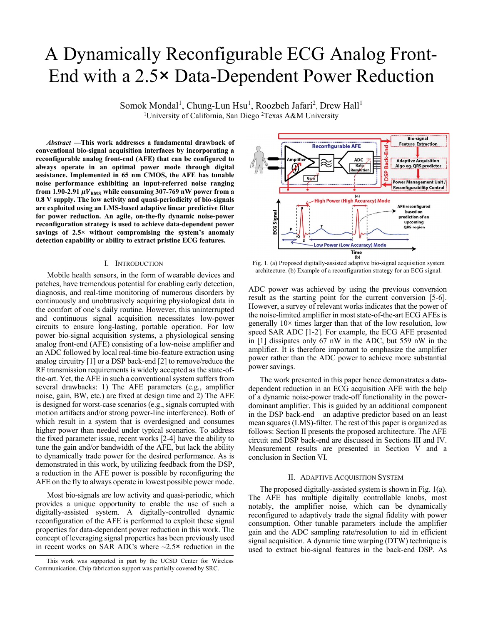# A Dynamically Reconfigurable ECG Analog Front-End with a 2.5× Data-Dependent Power Reduction

Somok Mondal<sup>1</sup>, Chung-Lun Hsu<sup>1</sup>, Roozbeh Jafari<sup>2</sup>, Drew Hall<sup>1</sup> <sup>1</sup>University of California, San Diego <sup>2</sup>Texas A&M University

*Abstract* **—This work addresses a fundamental drawback of conventional bio-signal acquisition interfaces by incorporating a reconfigurable analog front-end (AFE) that can be configured to always operate in an optimal power mode through digital assistance. Implemented in 65 nm CMOS, the AFE has tunable noise performance exhibiting an input-referred noise ranging**  from 1.90-2.91  $\mu V_{RMS}$  while consuming 307-769 nW power from a **0.8 V supply. The low activity and quasi-periodicity of bio-signals are exploited using an LMS-based adaptive linear predictive filter for power reduction. An agile, on-the-fly dynamic noise-power reconfiguration strategy is used to achieve data-dependent power savings of 2.5× without compromising the system's anomaly detection capability or ability to extract pristine ECG features.** 

# I. INTRODUCTION

 Mobile health sensors, in the form of wearable devices and patches, have tremendous potential for enabling early detection, diagnosis, and real-time monitoring of numerous disorders by continuously and unobtrusively acquiring physiological data in the comfort of one's daily routine. However, this uninterrupted and continuous signal acquisition necessitates low-power circuits to ensure long-lasting, portable operation. For low power bio-signal acquisition systems, a physiological sensing analog front-end (AFE) consisting of a low-noise amplifier and an ADC followed by local real-time bio-feature extraction using analog circuitry [1] or a DSP back-end [2] to remove/reduce the RF transmission requirements is widely accepted as the state-ofthe-art. Yet, the AFE in such a conventional system suffers from several drawbacks: 1) The AFE parameters (e.g., amplifier noise, gain, BW, etc.) are fixed at design time and 2) The AFE is designed for worst-case scenarios (e.g., signals corrupted with motion artifacts and/or strong power-line interference). Both of which result in a system that is overdesigned and consumes higher power than needed under typical scenarios. To address the fixed parameter issue, recent works [2-4] have the ability to tune the gain and/or bandwidth of the AFE, but lack the ability to dynamically trade power for the desired performance. As is demonstrated in this work, by utilizing feedback from the DSP, a reduction in the AFE power is possible by reconfiguring the AFE on the fly to always operate in lowest possible power mode.

 Most bio-signals are low activity and quasi-periodic, which provides a unique opportunity to enable the use of such a digitally-assisted system. A digitally-controlled dynamic reconfiguration of the AFE is performed to exploit these signal properties for data-dependent power reduction in this work. The concept of leveraging signal properties has been previously used in recent works on SAR ADCs where  $\sim$ 2.5 $\times$  reduction in the



Fig. 1. (a) Proposed digitally-assisted adaptive bio-signal acquisition system architecture. (b) Example of a reconfiguration strategy for an ECG signal.

ADC power was achieved by using the previous conversion result as the starting point for the current conversion [5-6]. However, a survey of relevant works indicates that the power of the noise-limited amplifier in most state-of-the-art ECG AFEs is generally  $10\times$  times larger than that of the low resolution, low speed SAR ADC [1-2]. For example, the ECG AFE presented in [1] dissipates only 67 nW in the ADC, but 559 nW in the amplifier. It is therefore important to emphasize the amplifier power rather than the ADC power to achieve more substantial power savings.

 The work presented in this paper hence demonstrates a datadependent reduction in an ECG acquisition AFE with the help of a dynamic noise-power trade-off functionality in the powerdominant amplifier. This is guided by an additional component in the DSP back-end – an adaptive predictor based on an least mean squares (LMS)-filter. The rest of this paper is organized as follows: Section II presents the proposed architecture. The AFE circuit and DSP back-end are discussed in Sections III and IV. Measurement results are presented in Section V and a conclusion in Section VI.

## II. ADAPTIVE ACQUISITION SYSTEM

 The proposed digitally-assisted system is shown in Fig. 1(a). The AFE has multiple digitally controllable knobs, most notably, the amplifier noise, which can be dynamically reconfigured to adaptively trade the signal fidelity with power consumption. Other tunable parameters include the amplifier gain and the ADC sampling rate/resolution to aid in efficient signal acquisition. A dynamic time warping (DTW) technique is used to extract bio-signal features in the back-end DSP. As

This work was supported in part by the UCSD Center for Wireless Communication. Chip fabrication support was partially covered by SRC.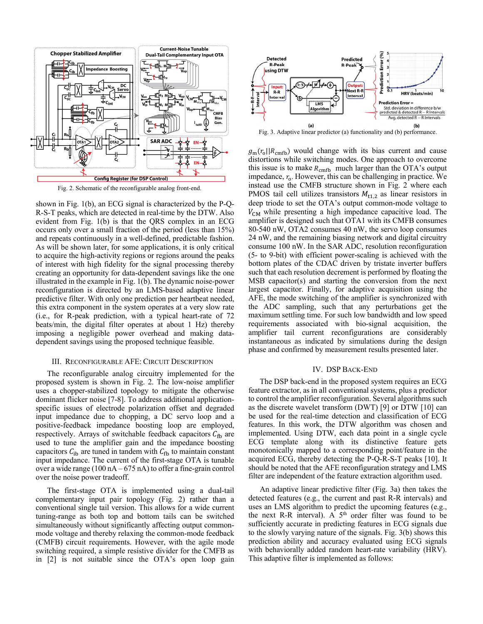

Fig. 2. Schematic of the reconfigurable analog front-end.

shown in Fig. 1(b), an ECG signal is characterized by the P-Q-R-S-T peaks, which are detected in real-time by the DTW. Also evident from Fig. 1(b) is that the QRS complex in an ECG occurs only over a small fraction of the period (less than 15%) and repeats continuously in a well-defined, predictable fashion. As will be shown later, for some applications, it is only critical to acquire the high-activity regions or regions around the peaks of interest with high fidelity for the signal processing thereby creating an opportunity for data-dependent savings like the one illustrated in the example in Fig. 1(b). The dynamic noise-power reconfiguration is directed by an LMS-based adaptive linear predictive filter. With only one prediction per heartbeat needed, this extra component in the system operates at a very slow rate (i.e., for R-peak prediction, with a typical heart-rate of 72 beats/min, the digital filter operates at about 1 Hz) thereby imposing a negligible power overhead and making datadependent savings using the proposed technique feasible.

# III. RECONFIGURABLE AFE: CIRCUIT DESCRIPTION

The reconfigurable analog circuitry implemented for the proposed system is shown in Fig. 2. The low-noise amplifier uses a chopper-stabilized topology to mitigate the otherwise dominant flicker noise [7-8]. To address additional applicationspecific issues of electrode polarization offset and degraded input impedance due to chopping, a DC servo loop and a positive-feedback impedance boosting loop are employed, respectively. Arrays of switchable feedback capacitors  $C_{\text{fb}}$  are used to tune the amplifier gain and the impedance boosting capacitors  $C_{\text{ib}}$  are tuned in tandem with  $C_{\text{fb}}$  to maintain constant input impedance. The current of the first-stage OTA is tunable over a wide range (100 nA – 675 nA) to offer a fine-grain control over the noise power tradeoff.

The first-stage OTA is implemented using a dual-tail complementary input pair topology (Fig. 2) rather than a conventional single tail version. This allows for a wide current tuning-range as both top and bottom tails can be switched simultaneously without significantly affecting output commonmode voltage and thereby relaxing the common-mode feedback (CMFB) circuit requirements. However, with the agile mode switching required, a simple resistive divider for the CMFB as in [2] is not suitable since the OTA's open loop gain



Fig. 3. Adaptive linear predictor (a) functionality and (b) performance.

 $g<sub>m</sub>(r<sub>o</sub>||R<sub>cmb</sub>)$  would change with its bias current and cause distortions while switching modes. One approach to overcome this issue is to make  $R_{\text{cmfb}}$  much larger than the OTA's output impedance,  $r<sub>o</sub>$ . However, this can be challenging in practice. We instead use the CMFB structure shown in Fig. 2 where each PMOS tail cell utilizes transistors  $M_{t1,2}$  as linear resistors in deep triode to set the OTA's output common-mode voltage to  $V_{CM}$  while presenting a high impedance capacitive load. The amplifier is designed such that OTA1 with its CMFB consumes 80-540 nW, OTA2 consumes 40 nW, the servo loop consumes 24 nW, and the remaining biasing network and digital circuitry consume 100 nW. In the SAR ADC, resolution reconfiguration (5- to 9-bit) with efficient power-scaling is achieved with the bottom plates of the CDAC driven by tristate inverter buffers such that each resolution decrement is performed by floating the MSB capacitor(s) and starting the conversion from the next largest capacitor. Finally, for adaptive acquisition using the AFE, the mode switching of the amplifier is synchronized with the ADC sampling, such that any perturbations get the maximum settling time. For such low bandwidth and low speed requirements associated with bio-signal acquisition, the amplifier tail current reconfigurations are considerably instantaneous as indicated by simulations during the design phase and confirmed by measurement results presented later.

#### IV. DSP BACK-END

The DSP back-end in the proposed system requires an ECG feature extractor, as in all conventional systems, plus a predictor to control the amplifier reconfiguration. Several algorithms such as the discrete wavelet transform (DWT) [9] or DTW [10] can be used for the real-time detection and classification of ECG features. In this work, the DTW algorithm was chosen and implemented. Using DTW, each data point in a single cycle ECG template along with its distinctive feature gets monotonically mapped to a corresponding point/feature in the acquired ECG, thereby detecting the P-Q-R-S-T peaks [10]. It should be noted that the AFE reconfiguration strategy and LMS filter are independent of the feature extraction algorithm used.

An adaptive linear predictive filter (Fig. 3a) then takes the detected features (e.g., the current and past R-R intervals) and uses an LMS algorithm to predict the upcoming features (e.g., the next R-R interval). A  $5<sup>th</sup>$  order filter was found to be sufficiently accurate in predicting features in ECG signals due to the slowly varying nature of the signals. Fig. 3(b) shows this prediction ability and accuracy evaluated using ECG signals with behaviorally added random heart-rate variability (HRV). This adaptive filter is implemented as follows: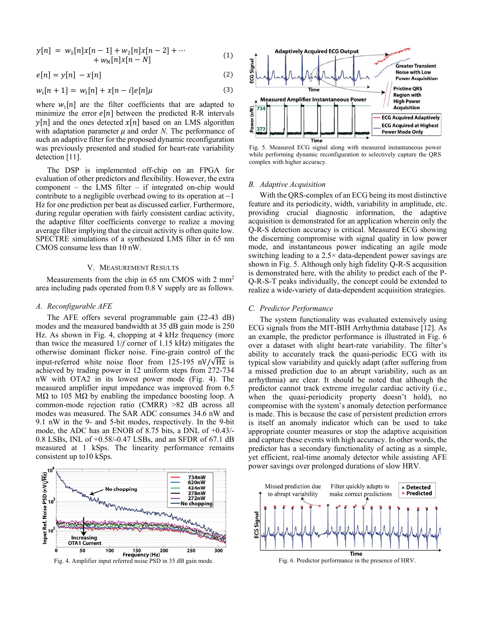$$
y[n] = w_1[n]x[n-1] + w_2[n]x[n-2] + \cdots + w_N[n]x[n-N]
$$
 (1)

$$
e[n] = y[n] - x[n] \tag{2}
$$

$$
w_i[n+1] = w_i[n] + x[n-i]e[n]\mu
$$
\n(3)

where  $w_i[n]$  are the filter coefficients that are adapted to minimize the error  $e[n]$  between the predicted R-R intervals  $\nu[n]$  and the ones detected  $\chi[n]$  based on an LMS algorithm with adaptation parameter  $\mu$  and order *N*. The performance of such an adaptive filter for the proposed dynamic reconfiguration was previously presented and studied for heart-rate variability detection [11].

 The DSP is implemented off-chip on an FPGA for evaluation of other predictors and flexibility. However, the extra component – the LMS filter – if integrated on-chip would contribute to a negligible overhead owing to its operation at  $\sim$ 1 Hz for one prediction per beat as discussed earlier. Furthermore, during regular operation with fairly consistent cardiac activity, the adaptive filter coefficients converge to realize a moving average filter implying that the circuit activity is often quite low. SPECTRE simulations of a synthesized LMS filter in 65 nm CMOS consume less than 10 nW.

## V. MEASUREMENT RESULTS

Measurements from the chip in 65 nm CMOS with 2 mm<sup>2</sup> area including pads operated from 0.8 V supply are as follows.

# *A. Reconfigurable AFE*

The AFE offers several programmable gain (22-43 dB) modes and the measured bandwidth at 35 dB gain mode is 250 Hz. As shown in Fig. 4, chopping at 4 kHz frequency (more than twice the measured 1/*f* corner of 1.15 kHz) mitigates the otherwise dominant flicker noise. Fine-grain control of the input-referred white noise floor from 125-195 nV/ $\sqrt{Hz}$  is achieved by trading power in 12 uniform steps from 272-734 nW with OTA2 in its lowest power mode (Fig. 4). The measured amplifier input impedance was improved from 6.5 MΩ to 105 MΩ by enabling the impedance boosting loop. A common-mode rejection ratio (CMRR) >82 dB across all modes was measured. The SAR ADC consumes 34.6 nW and 9.1 nW in the 9- and 5-bit modes, respectively. In the 9-bit mode, the ADC has an ENOB of 8.75 bits, a DNL of +0.43/- 0.8 LSBs, INL of +0.58/-0.47 LSBs, and an SFDR of 67.1 dB measured at 1 kSps. The linearity performance remains consistent up to10 kSps.



Fig. 4. Amplifier input referred noise PSD in 35 dB gain mode.



Fig. 5. Measured ECG signal along with measured instantaneous power while performing dynamic reconfiguration to selectively capture the QRS complex with higher accuracy.

#### *B. Adaptive Acquisition*

With the QRS-complex of an ECG being its most distinctive feature and its periodicity, width, variability in amplitude, etc. providing crucial diagnostic information, the adaptive acquisition is demonstrated for an application wherein only the Q-R-S detection accuracy is critical. Measured ECG showing the discerning compromise with signal quality in low power mode, and instantaneous power indicating an agile mode switching leading to a 2.5× data-dependent power savings are shown in Fig. 5. Although only high fidelity Q-R-S acquisition is demonstrated here, with the ability to predict each of the P-Q-R-S-T peaks individually, the concept could be extended to realize a wide-variety of data-dependent acquisition strategies.

# *C. Predictor Performance*

The system functionality was evaluated extensively using ECG signals from the MIT-BIH Arrhythmia database [12]. As an example, the predictor performance is illustrated in Fig. 6 over a dataset with slight heart-rate variability. The filter's ability to accurately track the quasi-periodic ECG with its typical slow variability and quickly adapt (after suffering from a missed prediction due to an abrupt variability, such as an arrhythmia) are clear. It should be noted that although the predictor cannot track extreme irregular cardiac activity (i.e., when the quasi-periodicity property doesn't hold), no compromise with the system's anomaly detection performance is made. This is because the case of persistent prediction errors is itself an anomaly indicator which can be used to take appropriate counter measures or stop the adaptive acquisition and capture these events with high accuracy. In other words, the predictor has a secondary functionality of acting as a simple, yet efficient, real-time anomaly detector while assisting AFE power savings over prolonged durations of slow HRV.



Fig. 6. Predictor performance in the presence of HRV.